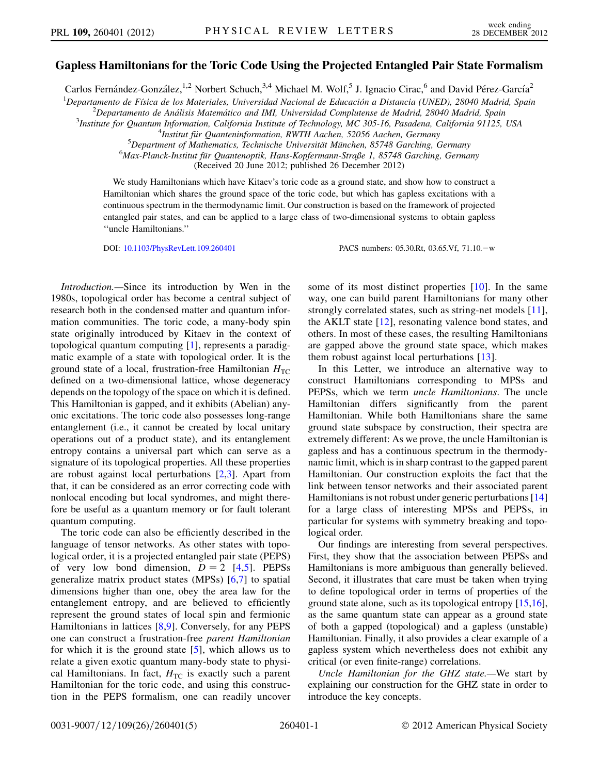## Gapless Hamiltonians for the Toric Code Using the Projected Entangled Pair State Formalism

Carlos Fernández-González,<sup>1,2</sup> Norbert Schuch,<sup>3,4</sup> Michael M. Wolf,<sup>5</sup> J. Ignacio Cirac,<sup>6</sup> and David Pérez-García<sup>2</sup>

<sup>1</sup>Departamento de Física de los Materiales, Universidad Nacional de Educación a Distancia (UNED), 28040 Madrid, Spain<br><sup>2</sup>Departamento de Análisis Matemático and IMI Universidad Complutense de Madrid, 28040 Madrid, Spain

 $<sup>2</sup>$ Departamento de Análisis Matemático and IMI, Universidad Complutense de Madrid, 28040 Madrid, Spain</sup>

 $3$ Institute for Quantum Information, California Institute of Technology, MC 305-16, Pasadena, California 91125, USA

 $^{4}$ Institut für Quanteninformation, RWTH Aachen, 52056 Aachen, Germany

 $5$ Department of Mathematics, Technische Universität München, 85748 Garching, Germany

 $6$ Max-Planck-Institut für Quantenoptik, Hans-Kopfermann-Straße 1, 85748 Garching, Germany

(Received 20 June 2012; published 26 December 2012)

We study Hamiltonians which have Kitaev's toric code as a ground state, and show how to construct a Hamiltonian which shares the ground space of the toric code, but which has gapless excitations with a continuous spectrum in the thermodynamic limit. Our construction is based on the framework of projected entangled pair states, and can be applied to a large class of two-dimensional systems to obtain gapless ''uncle Hamiltonians.''

DOI: [10.1103/PhysRevLett.109.260401](http://dx.doi.org/10.1103/PhysRevLett.109.260401) PACS numbers: 05.30.Rt, 03.65.Vf, 71.10. - w

Introduction.—Since its introduction by Wen in the 1980s, topological order has become a central subject of research both in the condensed matter and quantum information communities. The toric code, a many-body spin state originally introduced by Kitaev in the context of topological quantum computing [[1](#page-3-0)], represents a paradigmatic example of a state with topological order. It is the ground state of a local, frustration-free Hamiltonian  $H_{TC}$ defined on a two-dimensional lattice, whose degeneracy depends on the topology of the space on which it is defined. This Hamiltonian is gapped, and it exhibits (Abelian) anyonic excitations. The toric code also possesses long-range entanglement (i.e., it cannot be created by local unitary operations out of a product state), and its entanglement entropy contains a universal part which can serve as a signature of its topological properties. All these properties are robust against local perturbations [[2](#page-3-1),[3](#page-3-2)]. Apart from that, it can be considered as an error correcting code with nonlocal encoding but local syndromes, and might therefore be useful as a quantum memory or for fault tolerant quantum computing.

The toric code can also be efficiently described in the language of tensor networks. As other states with topological order, it is a projected entangled pair state (PEPS) of very low bond dimension,  $D = 2$  [[4,](#page-3-3)[5\]](#page-4-0). PEPSs generalize matrix product states (MPSs) [[6](#page-4-1),[7](#page-4-2)] to spatial dimensions higher than one, obey the area law for the entanglement entropy, and are believed to efficiently represent the ground states of local spin and fermionic Hamiltonians in lattices [\[8](#page-4-3)[,9](#page-4-4)]. Conversely, for any PEPS one can construct a frustration-free parent Hamiltonian for which it is the ground state [[5](#page-4-0)], which allows us to relate a given exotic quantum many-body state to physical Hamiltonians. In fact,  $H_{TC}$  is exactly such a parent Hamiltonian for the toric code, and using this construction in the PEPS formalism, one can readily uncover some of its most distinct properties [[10](#page-4-5)]. In the same way, one can build parent Hamiltonians for many other strongly correlated states, such as string-net models [\[11\]](#page-4-6), the AKLT state [[12](#page-4-7)], resonating valence bond states, and others. In most of these cases, the resulting Hamiltonians are gapped above the ground state space, which makes them robust against local perturbations [\[13](#page-4-8)].

In this Letter, we introduce an alternative way to construct Hamiltonians corresponding to MPSs and PEPSs, which we term *uncle Hamiltonians*. The uncle Hamiltonian differs significantly from the parent Hamiltonian. While both Hamiltonians share the same ground state subspace by construction, their spectra are extremely different: As we prove, the uncle Hamiltonian is gapless and has a continuous spectrum in the thermodynamic limit, which is in sharp contrast to the gapped parent Hamiltonian. Our construction exploits the fact that the link between tensor networks and their associated parent Hamiltonians is not robust under generic perturbations [[14\]](#page-4-9) for a large class of interesting MPSs and PEPSs, in particular for systems with symmetry breaking and topological order.

Our findings are interesting from several perspectives. First, they show that the association between PEPSs and Hamiltonians is more ambiguous than generally believed. Second, it illustrates that care must be taken when trying to define topological order in terms of properties of the ground state alone, such as its topological entropy [\[15,](#page-4-10)[16\]](#page-4-11), as the same quantum state can appear as a ground state of both a gapped (topological) and a gapless (unstable) Hamiltonian. Finally, it also provides a clear example of a gapless system which nevertheless does not exhibit any critical (or even finite-range) correlations.

Uncle Hamiltonian for the GHZ state.—We start by explaining our construction for the GHZ state in order to introduce the key concepts.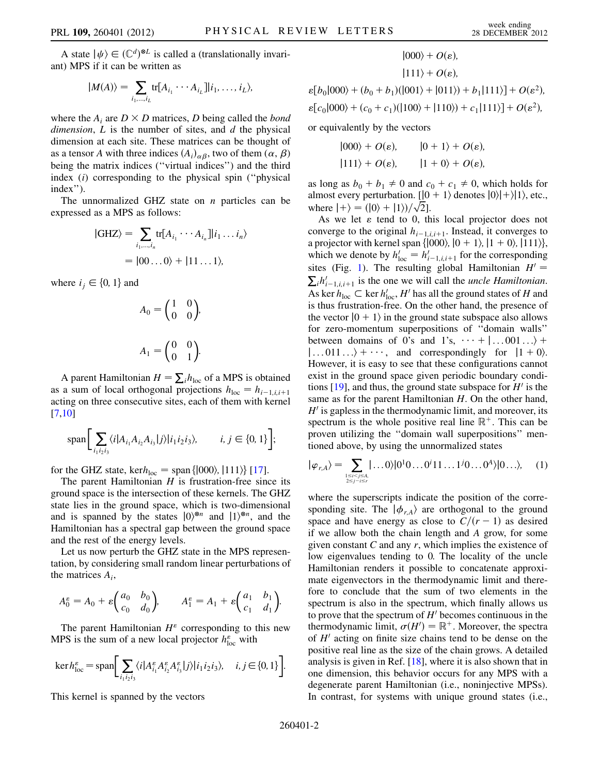A state  $|\psi\rangle \in (\mathbb{C}^d)^{\otimes L}$  is called a (translationally invari-<br>t) MPS if it can be written as ant) MPS if it can be written as

$$
|M(A)\rangle = \sum_{i_1,\dots,i_L} \text{tr}[A_{i_1} \cdots A_{i_L}] | i_1,\dots,i_L\rangle,
$$

where the  $A_i$  are  $D \times D$  matrices, D being called the *bond* dimension,  $L$  is the number of sites, and  $d$  the physical dimension at each site. These matrices can be thought of as a tensor A with three indices  $(A_i)_{\alpha\beta}$ , two of them  $(\alpha, \beta)$ <br>being the matrix indices ("virtual indices") and the third being the matrix indices (''virtual indices'') and the third index (i) corresponding to the physical spin (''physical index'').

The unnormalized GHZ state on  $n$  particles can be expressed as a MPS as follows:

$$
|GHZ\rangle = \sum_{i_1,\dots,i_n} tr[A_{i_1} \cdots A_{i_n}] |i_1 \dots i_n\rangle
$$
  
= |00 \dots 0\rangle + |11 \dots 1\rangle,

where  $i_j \in \{0, 1\}$  and

$$
A_0 = \begin{pmatrix} 1 & 0 \\ 0 & 0 \end{pmatrix},
$$

$$
A_1 = \begin{pmatrix} 0 & 0 \\ 0 & 1 \end{pmatrix}.
$$

A parent Hamiltonian  $H = \sum_i h_{\text{loc}}$  of a MPS is obtained<br>a sum of local orthogonal projections  $h_i = h_{i+1} \dots$ as a sum of local orthogonal projections  $h_{\text{loc}} = h_{i-1,i,i+1}$ acting on three consecutive sites, each of them with kernel [\[7,](#page-4-2)[10\]](#page-4-5)

$$
\text{span}\bigg[\sum_{i_1i_2i_3}\langle i|A_{i_1}A_{i_2}A_{i_3}|j\rangle|i_1i_2i_3\rangle, \qquad i, j \in \{0, 1\}\bigg];
$$

for the GHZ state, ker $h_{\text{loc}} = \text{span} \{ |000\rangle, |111\rangle \}$  [[17](#page-4-12)].

The parent Hamiltonian  $H$  is frustration-free since its ground space is the intersection of these kernels. The GHZ state lies in the ground space, which is two-dimensional and is spanned by the states  $|0\rangle^{\otimes n}$  and  $|1\rangle^{\otimes n}$ , and the Hamiltonian has a spectral gap between the ground space Hamiltonian has a spectral gap between the ground space and the rest of the energy levels.

Let us now perturb the GHZ state in the MPS representation, by considering small random linear perturbations of the matrices  $A_i$ ,

$$
A_0^{\varepsilon} = A_0 + \varepsilon \begin{pmatrix} a_0 & b_0 \\ c_0 & d_0 \end{pmatrix}, \qquad A_1^{\varepsilon} = A_1 + \varepsilon \begin{pmatrix} a_1 & b_1 \\ c_1 & d_1 \end{pmatrix}.
$$

The parent Hamiltonian  $H^{\varepsilon}$  corresponding to this new MPS is the sum of a new local projector  $h_{\text{loc}}^{\varepsilon}$  with

$$
\ker h_{\text{loc}}^{\varepsilon} = \text{span}\bigg[\sum_{i_1 i_2 i_3} \langle i | A_{i_1}^{\varepsilon} A_{i_2}^{\varepsilon} A_{i_3}^{\varepsilon} | j \rangle | i_1 i_2 i_3 \rangle, \quad i, j \in \{0, 1\}\bigg].
$$

This kernel is spanned by the vectors

$$
|000\rangle + O(\varepsilon),
$$
  
\n
$$
|111\rangle + O(\varepsilon),
$$
  
\n
$$
\varepsilon[b_0|000\rangle + (b_0 + b_1)(|001\rangle + |011\rangle) + b_1|111\rangle] + O(\varepsilon^2),
$$
  
\n
$$
\varepsilon[c_0|000\rangle + (c_0 + c_1)(|100\rangle + |110\rangle) + c_1|111\rangle] + O(\varepsilon^2),
$$

or equivalently by the vectors

$$
|000\rangle + O(\varepsilon),
$$
  $|0 + 1\rangle + O(\varepsilon),$   
 $|111\rangle + O(\varepsilon),$   $|1 + 0\rangle + O(\varepsilon),$ 

as long as  $b_0 + b_1 \neq 0$  and  $c_0 + c_1 \neq 0$ , which holds for almost every perturbation. [ $|0 + 1\rangle$  denotes  $|0\rangle|+\rangle|1\rangle$ , etc., where  $|+\rangle = (|0\rangle + |1\rangle)/\sqrt{2}$ .<br>As we let  $\varepsilon$  tend to 0 the

As we let  $\varepsilon$  tend to 0, this local projector does not converge to the original  $h_{i-1,i+1}$ . Instead, it converges to a projector with kernel span  $\{ |000\rangle, |0 + 1\rangle, |1 + 0\rangle, |111\rangle \},\$ which we denote by  $h'_{loc} = h'_{i-1,i,i+1}$  for the corresponding<br>sites (Fig. 1). The resulting global Hamiltonian  $H'$ sites (Fig. [1](#page-2-0)). The resulting global Hamiltonian  $H' = \sum_i h'_{i-1,i,i+1}$  is the one we will call the *uncle Hamiltonian*. As ker  $h'_{\text{loc}} \subset \text{ker } h'_{\text{loc}}$ , H' has all the ground states of H and<br>is thus frustration-free. On the other hand, the presence of is thus frustration-free. On the other hand, the presence of the vector  $|0 + 1\rangle$  in the ground state subspace also allows for zero-momentum superpositions of ''domain walls'' between domains of 0's and 1's,  $\cdots + | \ldots 001 \ldots \rangle +$  $|...011... \rangle + \cdots$ , and correspondingly for  $|1 + 0\rangle$ . However, it is easy to see that these configurations cannot exist in the ground space given periodic boundary condi-tions [\[19\]](#page-4-13), and thus, the ground state subspace for  $H'$  is the same as for the parent Hamiltonian H. On the other hand,  $H'$  is gapless in the thermodynamic limit, and moreover, its spectrum is the whole positive real line  $\mathbb{R}^+$ . This can be proven utilizing the ''domain wall superpositions'' mentioned above, by using the unnormalized states

$$
|\varphi_{r,A}\rangle = \sum_{\substack{1 \le i < j \le A, \\ 2 \le j - i \le r}} |...0\rangle |0^1 0...0^i 11...1^j 0...0^A\rangle |0... \rangle, \quad (1)
$$

where the superscripts indicate the position of the corresponding site. The  $|\phi_{r,A}\rangle$  are orthogonal to the ground space and have energy as close to  $C/(r - 1)$  as desired if we allow both the chain length and A grow, for some given constant  $C$  and any  $r$ , which implies the existence of low eigenvalues tending to 0. The locality of the uncle Hamiltonian renders it possible to concatenate approximate eigenvectors in the thermodynamic limit and therefore to conclude that the sum of two elements in the spectrum is also in the spectrum, which finally allows us to prove that the spectrum of  $H'$  becomes continuous in the thermodynamic limit,  $\sigma(H') = \mathbb{R}^+$ . Moreover, the spectra<br>of  $H'$  acting on finite size chains tend to be dense on the of  $H<sup>1</sup>$  acting on finite size chains tend to be dense on the positive real line as the size of the chain grows. A detailed analysis is given in Ref. [\[18\]](#page-4-14), where it is also shown that in one dimension, this behavior occurs for any MPS with a degenerate parent Hamiltonian (i.e., noninjective MPSs). In contrast, for systems with unique ground states (i.e.,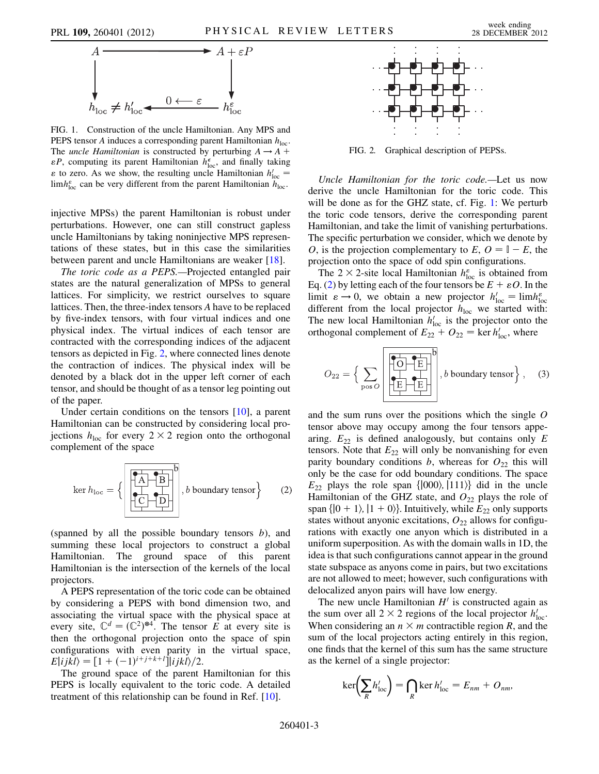<span id="page-2-0"></span>

FIG. 1. Construction of the uncle Hamiltonian. Any MPS and PEPS tensor A induces a corresponding parent Hamiltonian  $h_{loc}$ . The *uncle Hamiltonian* is constructed by perturbing  $A \rightarrow A$  +  $\varepsilon P$ , computing its parent Hamiltonian  $h_{\text{loc}}^{\varepsilon}$ , and finally taking  $\varepsilon$  to zero. As we show, the resulting uncle Hamiltonian  $h'_{\text{loc}} =$  $\lim_{h_{\text{loc}}}$  can be very different from the parent Hamiltonian  $h_{\text{loc}}$ .

injective MPSs) the parent Hamiltonian is robust under perturbations. However, one can still construct gapless uncle Hamiltonians by taking noninjective MPS representations of these states, but in this case the similarities between parent and uncle Hamiltonians are weaker [\[18\]](#page-4-14).

The toric code as a PEPS.—Projected entangled pair states are the natural generalization of MPSs to general lattices. For simplicity, we restrict ourselves to square lattices. Then, the three-index tensors A have to be replaced by five-index tensors, with four virtual indices and one physical index. The virtual indices of each tensor are contracted with the corresponding indices of the adjacent tensors as depicted in Fig. [2](#page-2-1), where connected lines denote the contraction of indices. The physical index will be denoted by a black dot in the upper left corner of each tensor, and should be thought of as a tensor leg pointing out of the paper.

Under certain conditions on the tensors [\[10\]](#page-4-5), a parent Hamiltonian can be constructed by considering local projections  $h_{\text{loc}}$  for every 2  $\times$  2 region onto the orthogonal complement of the space

<span id="page-2-2"></span>
$$
\ker h_{\text{loc}} = \left\{ \left[ \begin{array}{|c|c|} \hline A & B \\ \hline C & D \\ \hline C & D \end{array} \right], b \text{ boundary tensor} \right\} \qquad (2)
$$

(spanned by all the possible boundary tensors  $b$ ), and summing these local projectors to construct a global Hamiltonian. The ground space of this parent Hamiltonian is the intersection of the kernels of the local projectors.

A PEPS representation of the toric code can be obtained by considering a PEPS with bond dimension two, and associating the virtual space with the physical space at every site,  $\mathbb{C}^d = (\mathbb{C}^2)^{\otimes 4}$ . The tensor E at every site is<br>then the orthogonal projection onto the space of spin then the orthogonal projection onto the space of spin configurations with even parity in the virtual space,  $E|ijkl\rangle = [1 + (-1)^{i+j+k+l}] |ijkl\rangle/2.$ <br>The ground space of the parent

The ground space of the parent Hamiltonian for this PEPS is locally equivalent to the toric code. A detailed treatment of this relationship can be found in Ref. [[10](#page-4-5)].

<span id="page-2-1"></span>

FIG. 2. Graphical description of PEPSs.

Uncle Hamiltonian for the toric code.—Let us now derive the uncle Hamiltonian for the toric code. This will be done as for the GHZ state, cf. Fig. [1](#page-2-0): We perturb the toric code tensors, derive the corresponding parent Hamiltonian, and take the limit of vanishing perturbations. The specific perturbation we consider, which we denote by O, is the projection complementary to  $E, O = \mathbb{I} - E$ , the projection onto the space of odd spin configurations.

The 2  $\times$  2-site local Hamiltonian  $h_{\text{loc}}^{\varepsilon}$  is obtained from Eq. ([2](#page-2-2)) by letting each of the four tensors be  $E + \varepsilon O$ . In the limit  $\varepsilon \to 0$ , we obtain a new projector  $h'_{\text{loc}} = \lim h^{\varepsilon}_{\text{loc}}$ <br>different from the local projector h, we started with: different from the local projector  $h_{loc}$  we started with: The new local Hamiltonian  $h'_{\text{loc}}$  is the projector onto the orthogonal complement of  $E_{22}^{\text{loc}} + O_{22} = \text{ker } h'_{\text{loc}}$ , where

<span id="page-2-3"></span>
$$
O_{22} = \left\{ \sum_{\text{pos } O} \left| \left( \underbrace{\overbrace{\begin{array}{c} \bullet \\ \bullet \\ \bullet \\ \bullet \end{array}}}_{\text{E}} \right| \left( \underbrace{\overbrace{\begin{array}{c} \bullet \\ \bullet \\ \bullet \\ \bullet \\ \bullet \end{array}}}_{\text{E}} \right|^{b} \right|, b \text{ boundary tensor} \right\}, \quad (3)
$$

and the sum runs over the positions which the single O tensor above may occupy among the four tensors appearing.  $E_{22}$  is defined analogously, but contains only E tensors. Note that  $E_{22}$  will only be nonvanishing for even parity boundary conditions b, whereas for  $O_{22}$  this will only be the case for odd boundary conditions. The space  $E_{22}$  plays the role span  $\{000\}$ ,  $|111\rangle\}$  did in the uncle Hamiltonian of the GHZ state, and  $O_{22}$  plays the role of span  $\{ |0 + 1\rangle, |1 + 0\rangle \}$ . Intuitively, while  $E_{22}$  only supports states without anyonic excitations,  $O_{22}$  allows for configurations with exactly one anyon which is distributed in a uniform superposition. As with the domain walls in 1D, the idea is that such configurations cannot appear in the ground state subspace as anyons come in pairs, but two excitations are not allowed to meet; however, such configurations with delocalized anyon pairs will have low energy.

The new uncle Hamiltonian  $H'$  is constructed again as the sum over all  $2 \times 2$  regions of the local projector  $h'_{\text{loc}}$ .<br>When considering an  $n \times m$  contractible region R and the When considering an  $n \times m$  contractible region R, and the sum of the local projectors acting entirely in this region, one finds that the kernel of this sum has the same structure as the kernel of a single projector:

$$
\ker\left(\sum_{R} h'_{\text{loc}}\right) = \bigcap_{R} \ker h'_{\text{loc}} = E_{nm} + O_{nm},
$$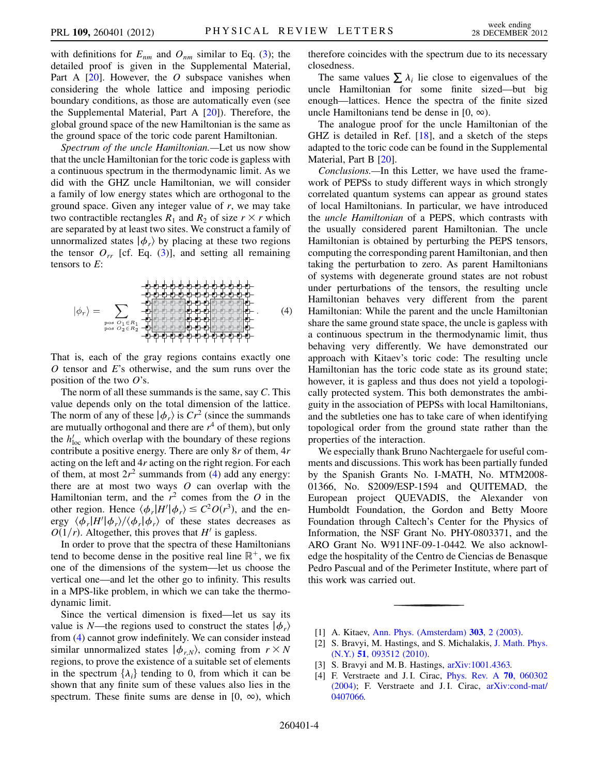with definitions for  $E_{nm}$  and  $O_{nm}$  similar to Eq. ([3\)](#page-2-3); the detailed proof is given in the Supplemental Material, Part A  $[20]$  $[20]$  $[20]$ . However, the O subspace vanishes when considering the whole lattice and imposing periodic boundary conditions, as those are automatically even (see the Supplemental Material, Part A [\[20\]](#page-4-15)). Therefore, the global ground space of the new Hamiltonian is the same as the ground space of the toric code parent Hamiltonian.

Spectrum of the uncle Hamiltonian.—Let us now show that the uncle Hamiltonian for the toric code is gapless with a continuous spectrum in the thermodynamic limit. As we did with the GHZ uncle Hamiltonian, we will consider a family of low energy states which are orthogonal to the ground space. Given any integer value of  $r$ , we may take two contractible rectangles  $R_1$  and  $R_2$  of size  $r \times r$  which are separated by at least two sites. We construct a family of unnormalized states  $|\phi_r\rangle$  by placing at these two regions the tensor  $O_{rr}$  [cf. Eq. [\(3\)](#page-2-3)], and setting all remaining tensors to  $E$ :

<span id="page-3-4"></span>
$$
|\phi_r\rangle = \sum_{\substack{\mathbf{p}, \mathbf{p}, \mathbf{p}, \mathbf{p} \in \mathbf{p}, \mathbf{p}, \mathbf{p} \in \mathbf{p}, \mathbf{p} \in \mathbf{p}, \mathbf{p} \in \mathbf{p}, \mathbf{p} \in \mathbf{p}, \mathbf{p} \in \mathbf{p}, \mathbf{p} \in \mathbf{p}, \mathbf{p} \in \mathbf{p}, \mathbf{p} \in \mathbf{p}, \mathbf{p} \in \mathbf{p}, \mathbf{p} \in \mathbf{p}, \mathbf{p} \in \mathbf{p}, \mathbf{p} \in \mathbf{p}, \mathbf{p} \in \mathbf{p}, \mathbf{p} \in \mathbf{p}, \mathbf{p} \in \mathbf{p}, \mathbf{p} \in \mathbf{p}, \mathbf{p} \in \mathbf{p}, \mathbf{p} \in \mathbf{p}, \mathbf{p} \in \mathbf{p}, \mathbf{p} \in \mathbf{p}, \mathbf{p} \in \mathbf{p}, \mathbf{p} \in \mathbf{p}, \mathbf{p} \in \mathbf{p}, \mathbf{p} \in \mathbf{p}, \mathbf{p} \in \mathbf{p}, \mathbf{p} \in \mathbf{p}, \mathbf{p} \in \mathbf{p}, \mathbf{p} \in \mathbf{p}, \mathbf{p} \in \mathbf{p}, \mathbf{p} \in \mathbf{p}, \mathbf{p} \in \mathbf{p}, \mathbf{p} \in \mathbf{p}, \mathbf{p} \in \mathbf{p}, \mathbf{p} \in \mathbf{p}, \mathbf{p} \in \mathbf{p}, \mathbf{p} \in \mathbf{p}, \mathbf{p} \in \mathbf{p}, \mathbf{p} \in \mathbf{p}, \mathbf{p} \in \mathbf{p}, \mathbf{p} \in \mathbf{p}, \mathbf{p} \in \mathbf{p}, \mathbf{p} \in \mathbf{p}, \mathbf{p} \in \mathbf{p}, \mathbf{p} \in \mathbf{p}, \mathbf{p} \in \mathbf{p}, \mathbf{p} \in \mathbf{p}, \mathbf{p} \in \mathbf{p}, \mathbf{p} \in \mathbf{p}, \mathbf{p} \in \mathbf{p}, \mathbf{p} \in \mathbf{p}, \mathbf{p} \in \
$$

That is, each of the gray regions contains exactly one  $O$  tensor and  $E$ 's otherwise, and the sum runs over the position of the two  $O$ 's.

The norm of all these summands is the same, say C. This value depends only on the total dimension of the lattice. The norm of any of these  $|\phi_r\rangle$  is  $Cr^2$  (since the summands are mutually orthogonal and there are  $r<sup>4</sup>$  of them), but only the  $h'_{\text{loc}}$  which overlap with the boundary of these regions contribute a positive energy. There are only 8r of them, 4r acting on the left and 4r acting on the right region. For each of them, at most  $2r^2$  summands from [\(4](#page-3-4)) add any energy: there are at most two ways  $O$  can overlap with the Hamiltonian term, and the  $r^2$  comes from the O in the other region. Hence  $\langle \phi_r | H' | \phi_r \rangle \leq C^2 O(r^3)$ , and the en-<br>ergy  $\langle \phi | H' | \phi \rangle / \langle \phi | \phi \rangle$  of these states decreases as ergy  $\langle \phi_r | H' | \phi_r \rangle / \langle \phi_r | \phi_r \rangle$  of these states decreases as  $O(1/r)$ . Altogether this proves that H' is gapless  $O(1/r)$ . Altogether, this proves that H<sup>t</sup> is gapless.

In order to prove that the spectra of these Hamiltonians tend to become dense in the positive real line  $\mathbb{R}^+$ , we fix one of the dimensions of the system—let us choose the vertical one—and let the other go to infinity. This results in a MPS-like problem, in which we can take the thermodynamic limit.

Since the vertical dimension is fixed—let us say its value is N—the regions used to construct the states  $|\phi_r\rangle$ from [\(4\)](#page-3-4) cannot grow indefinitely. We can consider instead similar unnormalized states  $|\phi_{r,N}\rangle$ , coming from  $r \times N$ regions, to prove the existence of a suitable set of elements in the spectrum  $\{\lambda_i\}$  tending to 0, from which it can be shown that any finite sum of these values also lies in the spectrum. These finite sums are dense in  $[0, \infty)$ , which therefore coincides with the spectrum due to its necessary closedness.

The same values  $\sum \lambda_i$  lie close to eigenvalues of the uncle Hamiltonian for some finite sized—but big enough—lattices. Hence the spectra of the finite sized uncle Hamiltonians tend be dense in  $[0, \infty)$ .

The analogue proof for the uncle Hamiltonian of the GHZ is detailed in Ref. [\[18\]](#page-4-14), and a sketch of the steps adapted to the toric code can be found in the Supplemental Material, Part B [\[20\]](#page-4-15).

Conclusions.—In this Letter, we have used the framework of PEPSs to study different ways in which strongly correlated quantum systems can appear as ground states of local Hamiltonians. In particular, we have introduced the uncle Hamiltonian of a PEPS, which contrasts with the usually considered parent Hamiltonian. The uncle Hamiltonian is obtained by perturbing the PEPS tensors, computing the corresponding parent Hamiltonian, and then taking the perturbation to zero. As parent Hamiltonians of systems with degenerate ground states are not robust under perturbations of the tensors, the resulting uncle Hamiltonian behaves very different from the parent Hamiltonian: While the parent and the uncle Hamiltonian share the same ground state space, the uncle is gapless with a continuous spectrum in the thermodynamic limit, thus behaving very differently. We have demonstrated our approach with Kitaev's toric code: The resulting uncle Hamiltonian has the toric code state as its ground state; however, it is gapless and thus does not yield a topologically protected system. This both demonstrates the ambiguity in the association of PEPSs with local Hamiltonians, and the subtleties one has to take care of when identifying topological order from the ground state rather than the properties of the interaction.

We especially thank Bruno Nachtergaele for useful comments and discussions. This work has been partially funded by the Spanish Grants No. I-MATH, No. MTM2008- 01366, No. S2009/ESP-1594 and QUITEMAD, the European project QUEVADIS, the Alexander von Humboldt Foundation, the Gordon and Betty Moore Foundation through Caltech's Center for the Physics of Information, the NSF Grant No. PHY-0803371, and the ARO Grant No. W911NF-09-1-0442. We also acknowledge the hospitality of the Centro de Ciencias de Benasque Pedro Pascual and of the Perimeter Institute, where part of this work was carried out.

- <span id="page-3-1"></span><span id="page-3-0"></span>[1] A. Kitaev, [Ann. Phys. \(Amsterdam\)](http://dx.doi.org/10.1016/S0003-4916(02)00018-0) **303**, 2 (2003).
- <span id="page-3-2"></span>[2] S. Bravyi, M. Hastings, and S. Michalakis, [J. Math. Phys.](http://dx.doi.org/10.1063/1.3490195) (N.Y.) 51[, 093512 \(2010\).](http://dx.doi.org/10.1063/1.3490195)
- <span id="page-3-3"></span>[3] S. Bravyi and M. B. Hastings, [arXiv:1001.4363.](http://arXiv.org/abs/1001.4363)
- [4] F. Verstraete and J.I. Cirac, *[Phys. Rev. A](http://dx.doi.org/10.1103/PhysRevA.70.060302)* **70**, 060302 [\(2004\)](http://dx.doi.org/10.1103/PhysRevA.70.060302); F. Verstraete and J. I. Cirac, [arXiv:cond-mat/](http://arXiv.org/abs/cond-mat/0407066) [0407066.](http://arXiv.org/abs/cond-mat/0407066)